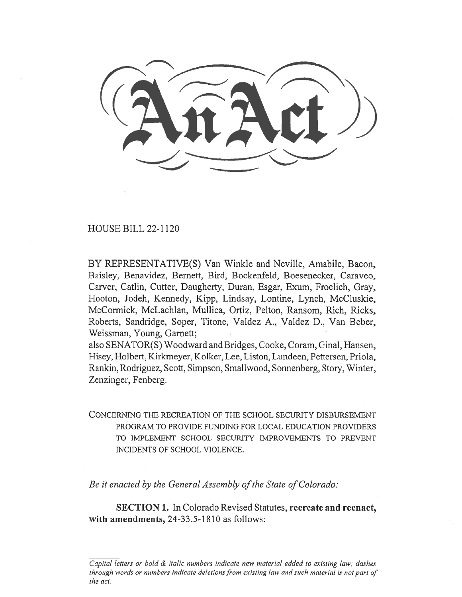HOUSE BILL 22-1120

BY REPRESENTATIVE(S) Van Winkle and Neville, Amabile, Bacon, Baisley, Benavidez, Bernett, Bird, Bockenfeld, Boesenecker, Caraveo, Carver, Catlin, Cutter, Daugherty, Duran, Esgar, Exum, Froelich, Gray, Hooton, Jodeh, Kennedy, Kipp, Lindsay, Lontine, Lynch, McCluskie, McCormick, McLachlan, Mullica, Ortiz, Pelton, Ransom, Rich, Ricks, Roberts, Sandridge, Soper, Titone, Valdez A., Valdez D., Van Beber, Weissman, Young, Garnett;

also SENATOR(S) Woodward and Bridges, Cooke, Coram, Ginal, Hansen, Hisey, Holbert, Kirkmeyer, Kolker, Lee, Liston, Lundeen, Pettersen, Priola, Rankin, Rodriguez, Scott, Simpson, Smallwood, Sonnenberg, Story, Winter, Zenzinger, Fenberg.

CONCERNING THE RECREATION OF THE SCHOOL SECURITY DISBURSEMENT PROGRAM TO PROVIDE FUNDING FOR LOCAL EDUCATION PROVIDERS TO IMPLEMENT SCHOOL SECURITY IMPROVEMENTS TO PREVENT INCIDENTS OF SCHOOL VIOLENCE.

Be it enacted by the General Assembly of the State of Colorado:

SECTION 1. In Colorado Revised Statutes, recreate and reenact, with amendments, 24-33.5-1810 as follows:

Capital letters or bold & italic numbers indicate new material added to existing law; dashes through words or numbers indicate deletions from existing law and such material is not part of the act.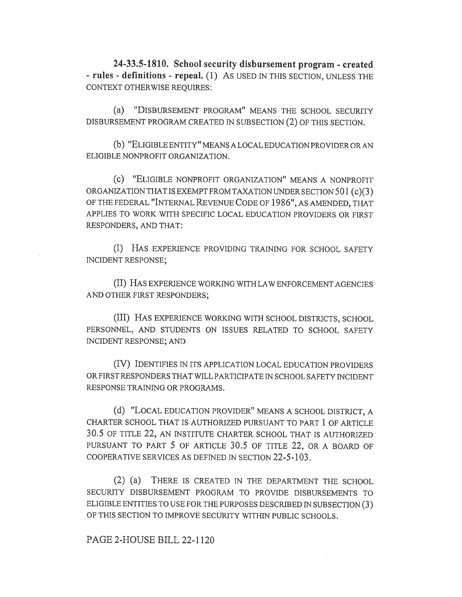24-33.5-1810. School security disbursement program - created - rules - definitions - repeal. (1) AS USED IN THIS SECTION, UNLESS THE CONTEXT OTHERWISE REQUIRES:

(a) "DISBURSEMENT PROGRAM" MEANS THE SCHOOL SECURITY DISBURSEMENT PROGRAM CREATED IN SUBSECTION (2) OF THIS SECTION.

(b) "ELIGIBLE ENTITY" MEANS A LOCAL EDUCATION PROVIDER OR AN ELIGIBLE NONPROFIT ORGANIZATION.

(C) "ELIGIBLE NONPROFIT ORGANIZATION" MEANS A NONPROFIT ORGANIZATION THAT IS EXEMPT FROM TAXATION UNDER SECTION 501 (c)(3) OF THE FEDERAL "INTERNAL REVENUE CODE OF 1986", AS AMENDED, THAT APPLIES TO WORK WITH SPECIFIC LOCAL EDUCATION PROVIDERS OR FIRST RESPONDERS, AND THAT:

(I) HAS EXPERIENCE PROVIDING TRAINING FOR SCHOOL SAFETY INCIDENT RESPONSE;

(II) HAS EXPERIENCE WORKING WITH LAW ENFORCEMENT AGENCIES AND OTHER FIRST RESPONDERS;

(III) HAS EXPERIENCE WORKING WITH SCHOOL DISTRICTS, SCHOOL PERSONNEL, AND STUDENTS ON ISSUES RELATED TO SCHOOL SAFETY INCIDENT RESPONSE; AND

(IV) IDENTIFIES IN ITS APPLICATION LOCAL EDUCATION PROVIDERS OR FIRST RESPONDERS THAT WILL PARTICIPATE IN SCHOOL SAFETY INCIDENT RESPONSE TRAINING OR PROGRAMS.

(d) "LOCAL EDUCATION PROVIDER" MEANS A SCHOOL DISTRICT, A CHARTER SCHOOL THAT IS AUTHORIZED PURSUANT TO PART 1 OF ARTICLE 30.5 OF TITLE 22, AN INSTITUTE CHARTER SCHOOL THAT IS AUTHORIZED PURSUANT TO PART 5 OF ARTICLE 30.5 OF TITLE 22, OR A BOARD OF COOPERATIVE SERVICES AS DEFINED IN SECTION 22-5-103.

(2) (a) THERE IS CREATED IN THE DEPARTMENT THE SCHOOL SECURITY DISBURSEMENT PROGRAM TO PROVIDE DISBURSEMENTS TO ELIGIBLE ENTITIES TO USE FOR THE PURPOSES DESCRIBED IN SUBSECTION (3) OF THIS SECTION TO IMPROVE SECURITY WITHIN PUBLIC SCHOOLS.

PAGE 2-HOUSE BILL 22-1120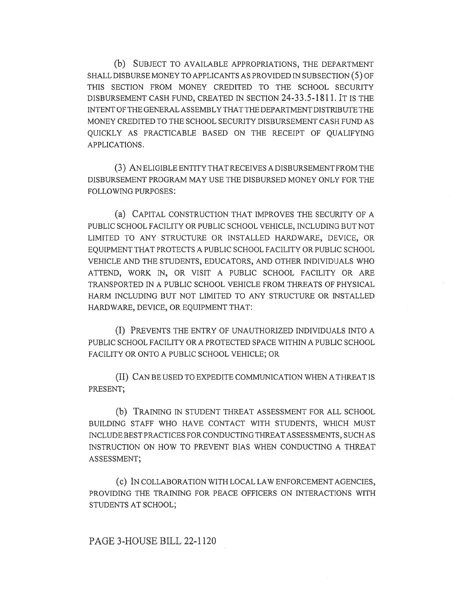(b) SUBJECT TO AVAILABLE APPROPRIATIONS, THE DEPARTMENT SHALL DISBURSE MONEY TO APPLICANTS AS PROVIDED IN SUBSECTION (5) OF THIS SECTION FROM MONEY CREDITED TO THE SCHOOL SECURITY DISBURSEMENT CASH FUND, CREATED IN SECTION 24-33.5-1811. IT IS THE INTENT OF THE GENERAL ASSEMBLY THAT THE DEPARTMENT DISTRIBUTE THE MONEY CREDITED TO THE SCHOOL SECURITY DISBURSEMENT CASH FUND AS QUICKLY AS PRACTICABLE BASED ON THE RECEIPT OF QUALIFYING APPLICATIONS.

(3) AN ELIGIBLE ENTITY THAT RECEIVES A DISBURSEMENT FROM THE DISBURSEMENT PROGRAM MAY USE THE DISBURSED MONEY ONLY FOR THE FOLLOWING PURPOSES:

(a) CAPITAL CONSTRUCTION THAT IMPROVES THE SECURITY OF A PUBLIC SCHOOL FACILITY OR PUBLIC SCHOOL VEHICLE, INCLUDING BUT NOT LIMITED TO ANY STRUCTURE OR INSTALLED HARDWARE, DEVICE, OR EQUIPMENT THAT PROTECTS A PUBLIC SCHOOL FACILITY OR PUBLIC SCHOOL VEHICLE AND THE STUDENTS, EDUCATORS, AND OTHER INDIVIDUALS WHO ATTEND, WORK IN, OR VISIT A PUBLIC SCHOOL FACILITY OR ARE TRANSPORTED IN A PUBLIC SCHOOL VEHICLE FROM THREATS OF PHYSICAL HARM INCLUDING BUT NOT LIMITED TO ANY STRUCTURE OR INSTALLED HARDWARE, DEVICE, OR EQUIPMENT THAT:

(I) PREVENTS THE ENTRY OF UNAUTHORIZED INDIVIDUALS INTO A PUBLIC SCHOOL FACILITY OR A PROTECTED SPACE WITHIN A PUBLIC SCHOOL FACILITY OR ONTO A PUBLIC SCHOOL VEHICLE; OR

(II) CAN BE USED TO EXPEDITE COMMUNICATION WHEN A THREAT IS PRESENT;

(b) TRAINING IN STUDENT THREAT ASSESSMENT FOR ALL SCHOOL BUILDING STAFF WHO HAVE CONTACT WITH STUDENTS, WHICH MUST INCLUDE BEST PRACTICES FOR CONDUCTING THREAT ASSESSMENTS, SUCH AS INSTRUCTION ON HOW TO PREVENT BIAS WHEN CONDUCTING A THREAT ASSESSMENT;

(c) IN COLLABORATION WITH LOCAL LAW ENFORCEMENT AGENCIES, PROVIDING THE TRAINING FOR PEACE OFFICERS ON INTERACTIONS WITH STUDENTS AT SCHOOL;

PAGE 3-HOUSE BILL 22-1120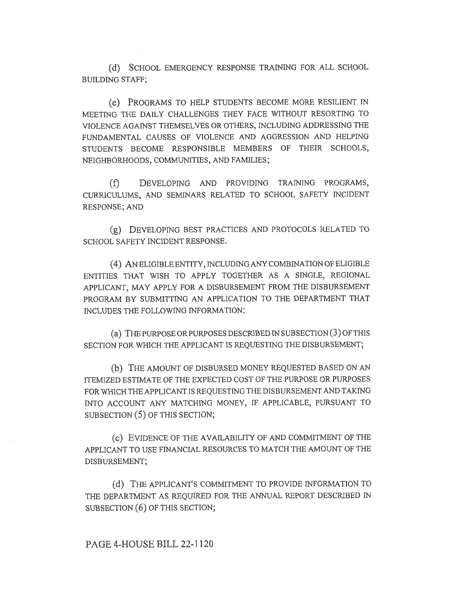(d) SCHOOL EMERGENCY RESPONSE TRAINING FOR ALL SCHOOL BUILDING STAFF;

(e) PROGRAMS TO HELP STUDENTS BECOME MORE RESILIENT IN MEETING THE DAILY CHALLENGES THEY FACE WITHOUT RESORTING TO VIOLENCE AGAINST THEMSELVES OR OTHERS, INCLUDING ADDRESSING THE FUNDAMENTAL CAUSES OF VIOLENCE AND AGGRESSION AND HELPING STUDENTS BECOME RESPONSIBLE MEMBERS OF THEIR SCHOOLS, NEIGHBORHOODS, COMMUNITIES, AND FAMILIES;

(f) DEVELOPING AND PROVIDING TRAINING PROGRAMS, CURRICULUMS, AND SEMINARS RELATED TO SCHOOL SAFETY INCIDENT RESPONSE; AND

(g) DEVELOPING BEST PRACTICES AND PROTOCOLS RELATED TO SCHOOL SAFETY INCIDENT RESPONSE.

(4) AN ELIGIBLE ENTITY, INCLUDING ANY COMBINATION OF ELIGIBLE ENTITIES THAT WISH TO APPLY TOGETHER AS A SINGLE, REGIONAL APPLICANT, MAY APPLY FOR A DISBURSEMENT FROM THE DISBURSEMENT PROGRAM BY SUBMITTING AN APPLICATION TO THE DEPARTMENT THAT INCLUDES THE FOLLOWING INFORMATION:

(a) THE PURPOSE OR PURPOSES DESCRIBED IN SUBSECTION (3) OF THIS SECTION FOR WHICH THE APPLICANT IS REQUESTING THE DISBURSEMENT;

(b) THE AMOUNT OF DISBURSED MONEY REQUESTED BASED ON AN ITEMIZED ESTIMATE OF THE EXPECTED COST OF THE PURPOSE OR PURPOSES FOR WHICH THE APPLICANT IS REQUESTING THE DISBURSEMENT AND TAKING INTO ACCOUNT ANY MATCHING MONEY, IF APPLICABLE, PURSUANT TO SUBSECTION (5) OF THIS SECTION;

(c) EVIDENCE OF THE AVAILABILITY OF AND COMMITMENT OF THE APPLICANT TO USE FINANCIAL RESOURCES TO MATCH THE AMOUNT OF THE DISBURSEMENT;

(d) THE APPLICANT'S COMMITMENT TO PROVIDE INFORMATION TO THE DEPARTMENT AS REQUIRED FOR THE ANNUAL REPORT DESCRIBED IN SUBSECTION (6) OF THIS SECTION;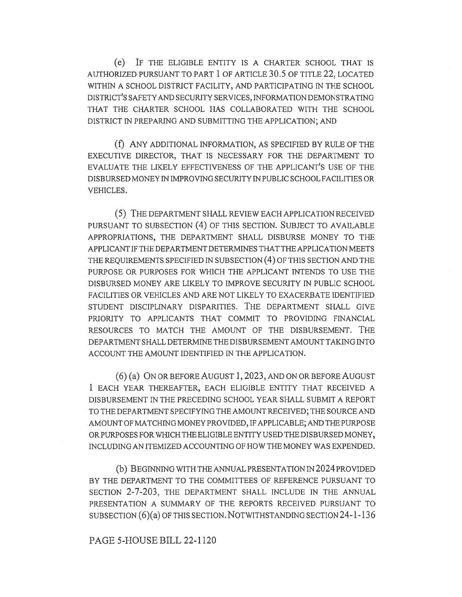(e) IF THE ELIGIBLE ENTITY IS A CHARTER SCHOOL THAT IS AUTHORIZED PURSUANT TO PART 1 OF ARTICLE 30.5 OF TITLE 22, LOCATED WITHIN A SCHOOL DISTRICT FACILITY, AND PARTICIPATING IN THE SCHOOL DISTRICT'S SAFETY AND SECURITY SERVICES, INFORMATION DEMONSTRATING THAT THE CHARTER SCHOOL HAS COLLABORATED WITH THE SCHOOL DISTRICT IN PREPARING AND SUBMITTING THE APPLICATION; AND

(f) ANY ADDITIONAL INFORMATION, AS SPECIFIED BY RULE OF THE EXECUTIVE DIRECTOR, THAT IS NECESSARY FOR THE DEPARTMENT TO EVALUATE THE LIKELY EFFECTIVENESS OF THE APPLICANT'S USE OF THE DISBURSED MONEY IN IMPROVING SECURITY IN PUBLIC SCHOOL FACILITIES OR VEHICLES.

(5) THE DEPARTMENT SHALL REVIEW EACH APPLICATION RECEIVED PURSUANT TO SUBSECTION (4) OF THIS SECTION. SUBJECT TO AVAILABLE APPROPRIATIONS, THE DEPARTMENT SHALL DISBURSE MONEY TO THE APPLICANT IF THE DEPARTMENT DETERMINES THAT THE APPLICATION MEETS THE REQUIREMENTS SPECIFIED IN SUBSECTION (4) OF THIS SECTION AND THE PURPOSE OR PURPOSES FOR WHICH THE APPLICANT INTENDS TO USE THE DISBURSED MONEY ARE LIKELY TO IMPROVE SECURITY IN PUBLIC SCHOOL FACILITIES OR VEHICLES AND ARE NOT LIKELY TO EXACERBATE IDENTIFIED STUDENT DISCIPLINARY DISPARITIES. THE DEPARTMENT SHALL GIVE PRIORITY TO APPLICANTS THAT COMMIT TO PROVIDING FINANCIAL RESOURCES TO MATCH THE AMOUNT OF THE DISBURSEMENT. THE DEPARTMENT SHALL DETERMINE THE DISBURSEMENT AMOUNT TAKING INTO ACCOUNT THE AMOUNT IDENTIFIED IN THE APPLICATION.

(6) (a) ON OR BEFORE AUGUST 1, 2023, AND ON OR BEFORE AUGUST 1 EACH YEAR THEREAFTER, EACH ELIGIBLE ENTITY THAT RECEIVED A DISBURSEMENT IN THE PRECEDING SCHOOL YEAR SHALL SUBMIT A REPORT TO THE DEPARTMENT SPECIFYING THE AMOUNT RECEIVED; THE SOURCE AND AMOUNT OF MATCHING MONEY PROVIDED, IF APPLICABLE; AND THE PURPOSE OR PURPOSES FOR WHICH THE ELIGIBLE ENTITY USED THE DISBURSED MONEY, INCLUDING AN ITEMIZED ACCOUNTING OF HOW THE MONEY WAS EXPENDED.

(b) BEGINNING WITH THE ANNUAL PRESENTATION IN 2024 PROVIDED BY THE DEPARTMENT TO THE COMMITTEES OF REFERENCE PURSUANT TO SECTION 2-7-203, THE DEPARTMENT SHALL INCLUDE IN THE ANNUAL PRESENTATION A SUMMARY OF THE REPORTS RECEIVED PURSUANT TO SUBSECTION (6)(a) OF THIS SECTION. NOTWITHSTANDING SECTION 24-1-136

## PAGE 5-HOUSE BILL 22-1120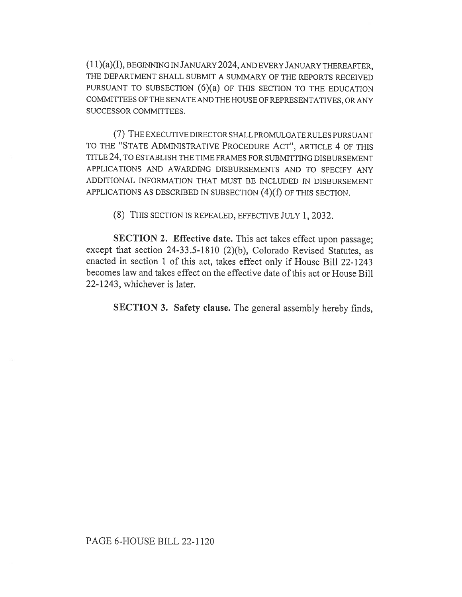(11)(a)(I), BEGINNING IN JANUARY 2024, AND EVERY JANUARY THEREAFTER, THE DEPARTMENT SHALL SUBMIT A SUMMARY OF THE REPORTS RECEIVED PURSUANT TO SUBSECTION  $(6)(a)$  OF THIS SECTION TO THE EDUCATION COMMITTEES OF THE SENATE AND THE HOUSE OF REPRESENTATIVES, OR ANY SUCCESSOR COMMITTEES.

(7) THE EXECUTIVE DIRECTOR SHALL PROMULGATE RULES PURSUANT TO THE "STATE ADMINISTRATIVE PROCEDURE ACT", ARTICLE 4 OF THIS TITLE 24, TO ESTABLISH THE TIME FRAMES FOR SUBMITTING DISBURSEMENT APPLICATIONS AND AWARDING DISBURSEMENTS AND TO SPECIFY ANY ADDITIONAL INFORMATION THAT MUST BE INCLUDED IN DISBURSEMENT APPLICATIONS AS DESCRIBED IN SUBSECTION (4)(f) OF THIS SECTION.

(8) THIS SECTION IS REPEALED, EFFECTIVE JULY 1, 2032.

SECTION 2. Effective date. This act takes effect upon passage; except that section 24-33.5-1810 (2)(b), Colorado Revised Statutes, as enacted in section 1 of this act, takes effect only if House Bill 22-1243 becomes law and takes effect on the effective date of this act or House Bill 22-1243, whichever is later.

SECTION 3. Safety clause. The general assembly hereby finds,